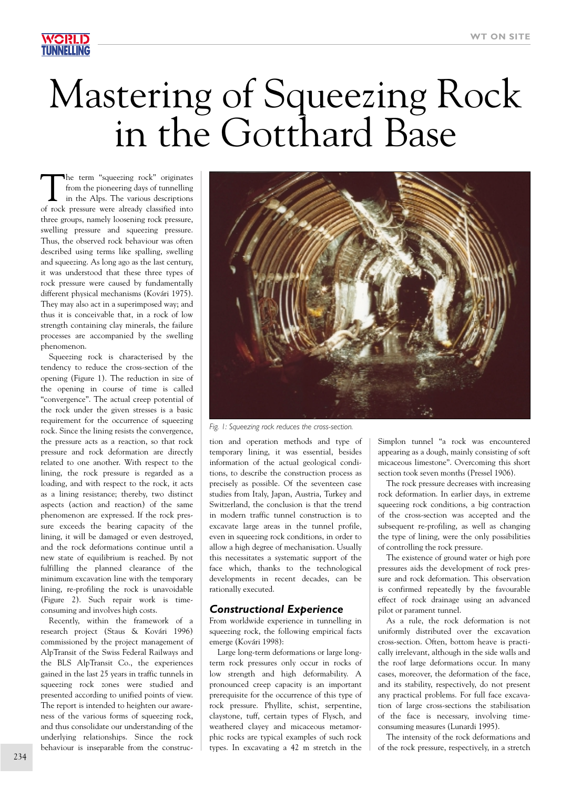# Mastering of Squeezing Rock in the Gotthard Base

The term "squeezing rock" originates<br>from the pioneering days of tunnelling<br>in the Alps. The various descriptions<br>of rock pressure were already alocated into from the pioneering days of tunnelling in the Alps. The various descriptions of rock pressure were already classified into three groups, namely loosening rock pressure, swelling pressure and squeezing pressure. Thus, the observed rock behaviour was often described using terms like spalling, swelling and squeezing. As long ago as the last century, it was understood that these three types of rock pressure were caused by fundamentally different physical mechanisms (Kovári 1975). They may also act in a superimposed way; and thus it is conceivable that, in a rock of low strength containing clay minerals, the failure processes are accompanied by the swelling phenomenon.

Squeezing rock is characterised by the tendency to reduce the cross-section of the opening (Figure 1). The reduction in size of the opening in course of time is called "convergence". The actual creep potential of the rock under the given stresses is a basic requirement for the occurrence of squeezing rock. Since the lining resists the convergence, the pressure acts as a reaction, so that rock pressure and rock deformation are directly related to one another. With respect to the lining, the rock pressure is regarded as a loading, and with respect to the rock, it acts as a lining resistance; thereby, two distinct aspects (action and reaction) of the same phenomenon are expressed. If the rock pressure exceeds the bearing capacity of the lining, it will be damaged or even destroyed, and the rock deformations continue until a new state of equilibrium is reached. By not fulfilling the planned clearance of the minimum excavation line with the temporary lining, re-profiling the rock is unavoidable (Figure 2). Such repair work is timeconsuming and involves high costs.

Recently, within the framework of a research project (Staus & Kovári 1996) commissioned by the project management of AlpTransit of the Swiss Federal Railways and the BLS AlpTransit Co., the experiences gained in the last 25 years in traffic tunnels in squeezing rock zones were studied and presented according to unified points of view. The report is intended to heighten our awareness of the various forms of squeezing rock, and thus consolidate our understanding of the underlying relationships. Since the rock behaviour is inseparable from the construc-



*Fig. 1: Squeezing rock reduces the cross-section.*

tion and operation methods and type of temporary lining, it was essential, besides information of the actual geological conditions, to describe the construction process as precisely as possible. Of the seventeen case studies from Italy, Japan, Austria, Turkey and Switzerland, the conclusion is that the trend in modern traffic tunnel construction is to excavate large areas in the tunnel profile, even in squeezing rock conditions, in order to allow a high degree of mechanisation. Usually this necessitates a systematic support of the face which, thanks to the technological developments in recent decades, can be rationally executed.

### *Constructional Experience*

From worldwide experience in tunnelling in squeezing rock, the following empirical facts emerge (Kovári 1998):

Large long-term deformations or large longterm rock pressures only occur in rocks of low strength and high deformability. A pronounced creep capacity is an important prerequisite for the occurrence of this type of rock pressure. Phyllite, schist, serpentine, claystone, tuff, certain types of Flysch, and weathered clayey and micaceous metamorphic rocks are typical examples of such rock types. In excavating a 42 m stretch in the

Simplon tunnel "a rock was encountered appearing as a dough, mainly consisting of soft micaceous limestone". Overcoming this short section took seven months (Pressel 1906).

The rock pressure decreases with increasing rock deformation. In earlier days, in extreme squeezing rock conditions, a big contraction of the cross-section was accepted and the subsequent re-profiling, as well as changing the type of lining, were the only possibilities of controlling the rock pressure.

The existence of ground water or high pore pressures aids the development of rock pressure and rock deformation. This observation is confirmed repeatedly by the favourable effect of rock drainage using an advanced pilot or parament tunnel.

As a rule, the rock deformation is not uniformly distributed over the excavation cross-section. Often, bottom heave is practically irrelevant, although in the side walls and the roof large deformations occur. In many cases, moreover, the deformation of the face, and its stability, respectively, do not present any practical problems. For full face excavation of large cross-sections the stabilisation of the face is necessary, involving timeconsuming measures (Lunardi 1995).

The intensity of the rock deformations and of the rock pressure, respectively, in a stretch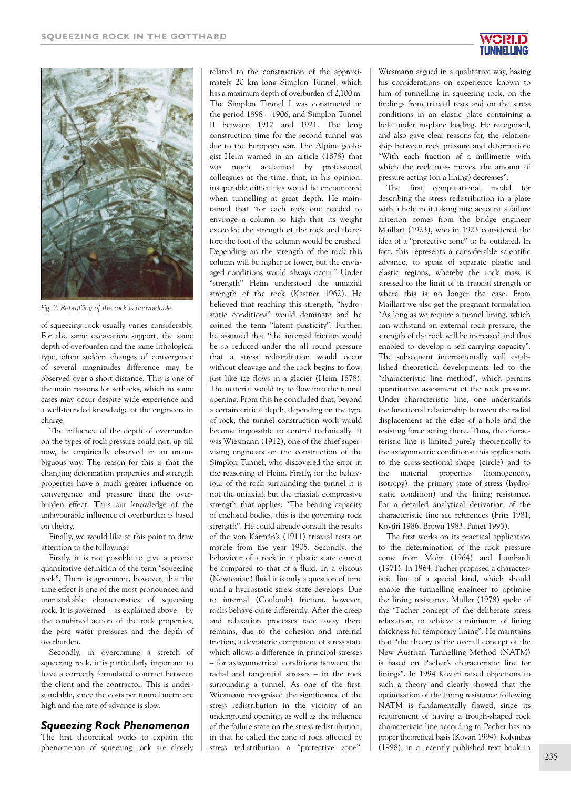

*Fig. 2: Reprofiling of the rock is unavoidable.*

of squeezing rock usually varies considerably. For the same excavation support, the same depth of overburden and the same lithological type, often sudden changes of convergence of several magnitudes difference may be observed over a short distance. This is one of the main reasons for setbacks, which in some cases may occur despite wide experience and a well-founded knowledge of the engineers in charge.

The influence of the depth of overburden on the types of rock pressure could not, up till now, be empirically observed in an unambiguous way. The reason for this is that the changing deformation properties and strength properties have a much greater influence on convergence and pressure than the overburden effect. Thus our knowledge of the unfavourable influence of overburden is based on theory.

Finally, we would like at this point to draw attention to the following:

Firstly, it is not possible to give a precise quantitative definition of the term "squeezing rock". There is agreement, however, that the time effect is one of the most pronounced and unmistakable characteristics of squeezing rock. It is governed – as explained above – by the combined action of the rock properties, the pore water pressures and the depth of overburden.

Secondly, in overcoming a stretch of squeezing rock, it is particularly important to have a correctly formulated contract between the client and the contractor. This is understandable, since the costs per tunnel metre are high and the rate of advance is slow.

# *Squeezing Rock Phenomenon*

The first theoretical works to explain the phenomenon of squeezing rock are closely

related to the construction of the approximately 20 km long Simplon Tunnel, which has a maximum depth of overburden of 2,100 m. The Simplon Tunnel I was constructed in the period 1898 – 1906, and Simplon Tunnel II between 1912 and 1921. The long construction time for the second tunnel was due to the European war. The Alpine geologist Heim warned in an article (1878) that was much acclaimed by professional colleagues at the time, that, in his opinion, insuperable difficulties would be encountered when tunnelling at great depth. He maintained that "for each rock one needed to envisage a column so high that its weight exceeded the strength of the rock and therefore the foot of the column would be crushed. Depending on the strength of the rock this column will be higher or lower, but the envisaged conditions would always occur." Under "strength" Heim understood the uniaxial strength of the rock (Kastner 1962). He believed that reaching this strength, "hydrostatic conditions" would dominate and he coined the term "latent plasticity". Further, he assumed that "the internal friction would be so reduced under the all round pressure that a stress redistribution would occur without cleavage and the rock begins to flow, just like ice flows in a glacier (Heim 1878). The material would try to flow into the tunnel opening. From this he concluded that, beyond a certain critical depth, depending on the type of rock, the tunnel construction work would become impossible to control technically. It was Wiesmann (1912), one of the chief supervising engineers on the construction of the Simplon Tunnel, who discovered the error in the reasoning of Heim. Firstly, for the behaviour of the rock surrounding the tunnel it is not the uniaxial, but the triaxial, compressive strength that applies: "The bearing capacity of enclosed bodies, this is the governing rock strength". He could already consult the results of the von Kármán's (1911) triaxial tests on marble from the year 1905. Secondly, the behaviour of a rock in a plastic state cannot be compared to that of a fluid. In a viscous (Newtonian) fluid it is only a question of time until a hydrostatic stress state develops. Due to internal (Coulomb) friction, however, rocks behave quite differently. After the creep and relaxation processes fade away there remains, due to the cohesion and internal friction, a deviatoric component of stress state which allows a difference in principal stresses – for axisymmetrical conditions between the radial and tangential stresses – in the rock surrounding a tunnel. As one of the first, Wiesmann recognised the significance of the stress redistribution in the vicinity of an underground opening, as well as the influence of the failure state on the stress redistribution, in that he called the zone of rock affected by stress redistribution a "protective zone".



Wiesmann argued in a qualitative way, basing his considerations on experience known to him of tunnelling in squeezing rock, on the findings from triaxial tests and on the stress conditions in an elastic plate containing a hole under in-plane loading. He recognised, and also gave clear reasons for, the relationship between rock pressure and deformation: "With each fraction of a millimetre with which the rock mass moves, the amount of pressure acting (on a lining) decreases".

The first computational model for describing the stress redistribution in a plate with a hole in it taking into account a failure criterion comes from the bridge engineer Maillart (1923), who in 1923 considered the idea of a "protective zone" to be outdated. In fact, this represents a considerable scientific advance, to speak of separate plastic and elastic regions, whereby the rock mass is stressed to the limit of its triaxial strength or where this is no longer the case. From Maillart we also get the pregnant formulation "As long as we require a tunnel lining, which can withstand an external rock pressure, the strength of the rock will be increased and thus enabled to develop a self-carrying capacity". The subsequent internationally well established theoretical developments led to the "characteristic line method", which permits quantitative assessment of the rock pressure. Under characteristic line, one understands the functional relationship between the radial displacement at the edge of a hole and the resisting force acting there. Thus, the characteristic line is limited purely theoretically to the axisymmetric conditions: this applies both to the cross-sectional shape (circle) and to the material properties (homogeneity, isotropy), the primary state of stress (hydrostatic condition) and the lining resistance. For a detailed analytical derivation of the characteristic line see references (Fritz 1981, Kovári 1986, Brown 1983, Panet 1995).

The first works on its practical application to the determination of the rock pressure come from Mohr (1964) and Lombardi (1971). In 1964, Pacher proposed a characteristic line of a special kind, which should enable the tunnelling engineer to optimise the lining resistance. Müller (1978) spoke of the "Pacher concept of the deliberate stress relaxation, to achieve a minimum of lining thickness for temporary lining". He maintains that "the theory of the overall concept of the New Austrian Tunnelling Method (NATM) is based on Pacher's characteristic line for linings". In 1994 Kovári raised objections to such a theory and clearly showed that the optimisation of the lining resistance following NATM is fundamentally flawed, since its requirement of having a trough-shaped rock characteristic line according to Pacher has no proper theoretical basis (Kovari 1994). Kolymbas (1998), in a recently published text book in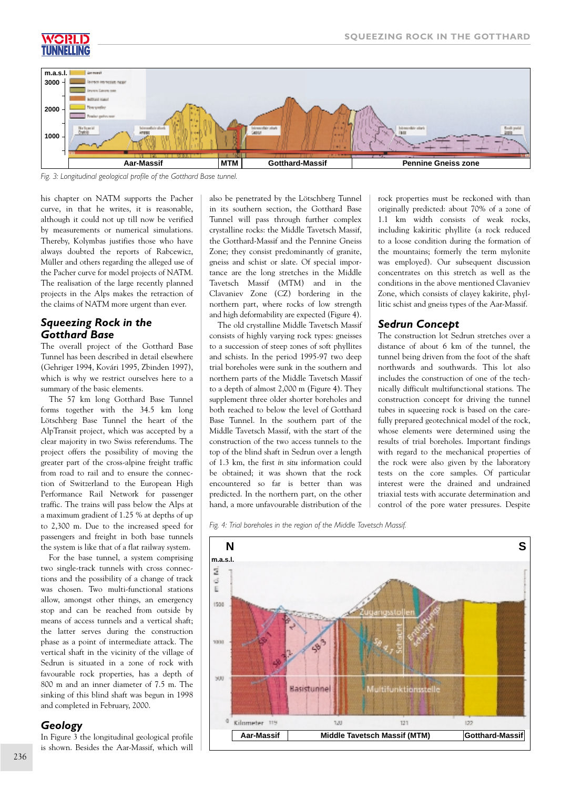



*Fig. 3: Longitudinal geological profile of the Gotthard Base tunnel.*

his chapter on NATM supports the Pacher curve, in that he writes, it is reasonable, although it could not up till now be verified by measurements or numerical simulations. Thereby, Kolymbas justifies those who have always doubted the reports of Rabcewicz, Müller and others regarding the alleged use of the Pacher curve for model projects of NATM. The realisation of the large recently planned projects in the Alps makes the retraction of the claims of NATM more urgent than ever.

# *Squeezing Rock in the Gotthard Base*

The overall project of the Gotthard Base Tunnel has been described in detail elsewhere (Gehriger 1994, Kovári 1995, Zbinden 1997), which is why we restrict ourselves here to a summary of the basic elements.

The 57 km long Gotthard Base Tunnel forms together with the 34.5 km long Lötschberg Base Tunnel the heart of the AlpTransit project, which was accepted by a clear majority in two Swiss referendums. The project offers the possibility of moving the greater part of the cross-alpine freight traffic from road to rail and to ensure the connection of Switzerland to the European High Performance Rail Network for passenger traffic. The trains will pass below the Alps at a maximum gradient of 1.25 % at depths of up to 2,300 m. Due to the increased speed for passengers and freight in both base tunnels the system is like that of a flat railway system.

For the base tunnel, a system comprising two single-track tunnels with cross connections and the possibility of a change of track was chosen. Two multi-functional stations allow, amongst other things, an emergency stop and can be reached from outside by means of access tunnels and a vertical shaft; the latter serves during the construction phase as a point of intermediate attack. The vertical shaft in the vicinity of the village of Sedrun is situated in a zone of rock with favourable rock properties, has a depth of 800 m and an inner diameter of 7.5 m. The sinking of this blind shaft was begun in 1998 and completed in February, 2000.

# *Geology*

In Figure 3 the longitudinal geological profile is shown. Besides the Aar-Massif, which will also be penetrated by the Lötschberg Tunnel in its southern section, the Gotthard Base Tunnel will pass through further complex crystalline rocks: the Middle Tavetsch Massif, the Gotthard-Massif and the Pennine Gneiss Zone; they consist predominantly of granite, gneiss and schist or slate. Of special importance are the long stretches in the Middle Tavetsch Massif (MTM) and in the Clavaniev Zone (CZ) bordering in the northern part, where rocks of low strength and high deformability are expected (Figure 4).

The old crystalline Middle Tavetsch Massif consists of highly varying rock types: gneisses to a succession of steep zones of soft phyllites and schists. In the period 1995-97 two deep trial boreholes were sunk in the southern and northern parts of the Middle Tavetsch Massif to a depth of almost 2,000 m (Figure 4). They supplement three older shorter boreholes and both reached to below the level of Gotthard Base Tunnel. In the southern part of the Middle Tavetsch Massif, with the start of the construction of the two access tunnels to the top of the blind shaft in Sedrun over a length of 1.3 km, the first *in situ* information could be obtained; it was shown that the rock encountered so far is better than was predicted. In the northern part, on the other hand, a more unfavourable distribution of the

rock properties must be reckoned with than originally predicted: about 70% of a zone of 1.1 km width consists of weak rocks, including kakiritic phyllite (a rock reduced to a loose condition during the formation of the mountains; formerly the term mylonite was employed). Our subsequent discussion concentrates on this stretch as well as the conditions in the above mentioned Clavaniev Zone, which consists of clayey kakirite, phyllitic schist and gneiss types of the Aar-Massif.

# *Sedrun Concept*

The construction lot Sedrun stretches over a distance of about 6 km of the tunnel, the tunnel being driven from the foot of the shaft northwards and southwards. This lot also includes the construction of one of the technically difficult multifunctional stations. The construction concept for driving the tunnel tubes in squeezing rock is based on the carefully prepared geotechnical model of the rock, whose elements were determined using the results of trial boreholes. Important findings with regard to the mechanical properties of the rock were also given by the laboratory tests on the core samples. Of particular interest were the drained and undrained triaxial tests with accurate determination and control of the pore water pressures. Despite

*Fig. 4: Trial boreholes in the region of the Middle Tavetsch Massif.*

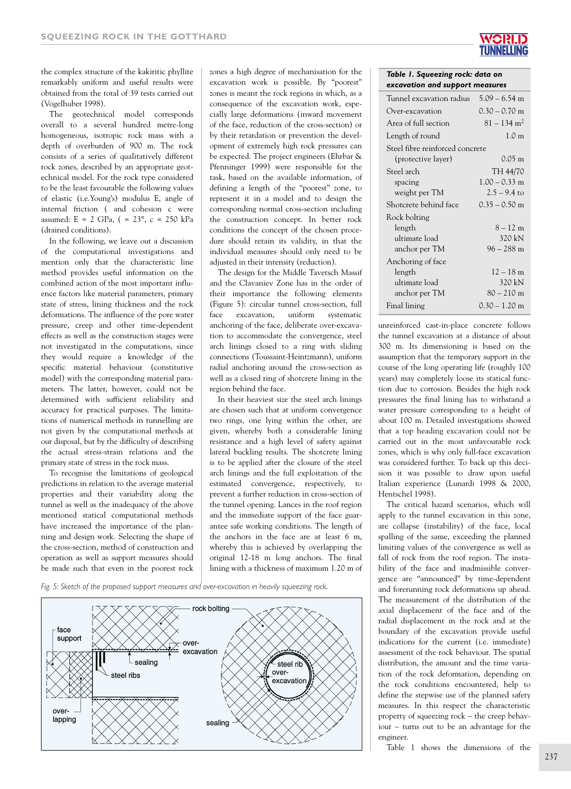the complex structure of the kakiritic phyllite remarkably uniform and useful results were obtained from the total of 39 tests carried out (Vogelhuber 1998).

The geotechnical model corresponds overall to a several hundred metre-long homogeneous, isotropic rock mass with a depth of overburden of 900 m. The rock consists of a series of qualitatively different rock zones, described by an appropriate geotechnical model. For the rock type considered to be the least favourable the following values of elastic (i.e.Young's) modulus E, angle of internal friction ( and cohesion c were assumed: E = 2 GPa, ( = 23°, c = 250 kPa (drained conditions).

In the following, we leave out a discussion of the computational investigations and mention only that the characteristic line method provides useful information on the combined action of the most important influence factors like material parameters, primary state of stress, lining thickness and the rock deformations. The influence of the pore water pressure, creep and other time-dependent effects as well as the construction stages were not investigated in the computations, since they would require a knowledge of the specific material behaviour (constitutive model) with the corresponding material parameters. The latter, however, could not be determined with sufficient reliability and accuracy for practical purposes. The limitations of numerical methods in tunnelling are not given by the computational methods at our disposal, but by the difficulty of describing the actual stress-strain relations and the primary state of stress in the rock mass.

To recognise the limitations of geological predictions in relation to the average material properties and their variability along the tunnel as well as the inadequacy of the above mentioned statical computational methods have increased the importance of the planning and design work. Selecting the shape of the cross-section, method of construction and operation as well as support measures should be made such that even in the poorest rock

zones a high degree of mechanisation for the excavation work is possible. By "poorest" zones is meant the rock regions in which, as a consequence of the excavation work, especially large deformations (inward movement of the face, reduction of the cross-section) or by their retardation or prevention the development of extremely high rock pressures can be expected. The project engineers (Ehrbar & Pfenninger 1999) were responsible for the task, based on the available information, of defining a length of the "poorest" zone, to represent it in a model and to design the corresponding normal cross-section including the construction concept. In better rock conditions the concept of the chosen procedure should retain its validity, in that the individual measures should only need to be adjusted in their intensity (reduction).

The design for the Middle Tavetsch Massif and the Clavaniev Zone has in the order of their importance the following elements (Figure 5): circular tunnel cross-section, full face excavation, uniform systematic anchoring of the face, deliberate over-excavation to accommodate the convergence, steel arch linings closed to a ring with sliding connections (Toussaint-Heintzmann), uniform radial anchoring around the cross-section as well as a closed ring of shotcrete lining in the region behind the face.

In their heaviest size the steel arch linings are chosen such that at uniform convergence two rings, one lying within the other, are given, whereby both a considerable lining resistance and a high level of safety against lateral buckling results. The shotcrete lining is to be applied after the closure of the steel arch linings and the full exploitation of the estimated convergence, respectively, to prevent a further reduction in cross-section of the tunnel opening. Lances in the roof region and the immediate support of the face guarantee safe working conditions. The length of the anchors in the face are at least 6 m, whereby this is achieved by overlapping the original 12-18 m long anchors. The final lining with a thickness of maximum 1.20 m of





### *Table 1. Squeezing rock: data on excavation and support measures*

| Tunnel excavation radius        | $5.09 - 6.54$ m           |
|---------------------------------|---------------------------|
| Over-excavation                 | $0.30 - 0.70$ m           |
| Area of full section            | $81 - 134$ m <sup>2</sup> |
| Length of round                 | 1.0 <sub>m</sub>          |
| Steel fibre reinforced concrete |                           |
| (protective layer)              | $0.05 \; \mathrm{m}$      |
| Steel arch                      | TH 44/70                  |
| spacing                         | $1.00 - 0.33$ m           |
| weight per TM                   | $2.5 - 9.4$ to            |
| Shotcrete behind face           | $0.35 - 0.50$ m           |
| Rock bolting                    |                           |
| length                          | $8 - 12 m$                |
| ultimate load                   | 320 kN                    |
| anchor per TM                   | $96 - 288$ m              |
| Anchoring of face               |                           |
| length                          | $12 - 18$ m               |
| ultimate load                   | 320 kN                    |
| anchor per TM                   | $80 - 210$ m              |
| Final lining                    | $0.30 - 1.20$ m           |

unreinforced cast-in-place concrete follows the tunnel excavation at a distance of about 300 m. Its dimensioning is based on the assumption that the temporary support in the course of the long operating life (roughly 100 years) may completely loose its statical function due to corrosion. Besides the high rock pressures the final lining has to withstand a water pressure corresponding to a height of about 100 m. Detailed investigations showed that a top heading excavation could not be carried out in the most unfavourable rock zones, which is why only full-face excavation was considered further. To back up this decision it was possible to draw upon useful Italian experience (Lunardi 1998 & 2000, Hentschel 1998).

The critical hazard scenarios, which will apply to the tunnel excavation in this zone, are collapse (instability) of the face, local spalling of the same, exceeding the planned limiting values of the convergence as well as fall of rock from the roof region. The instability of the face and inadmissible convergence are "announced" by time-dependent and forerunning rock deformations up ahead. The measurement of the distribution of the axial displacement of the face and of the radial displacement in the rock and at the boundary of the excavation provide useful indications for the current (i.e. immediate) assessment of the rock behaviour. The spatial distribution, the amount and the time variation of the rock deformation, depending on the rock conditions encountered, help to define the stepwise use of the planned safety measures. In this respect the characteristic property of squeezing rock – the creep behaviour – turns out to be an advantage for the engineer.

Table 1 shows the dimensions of the